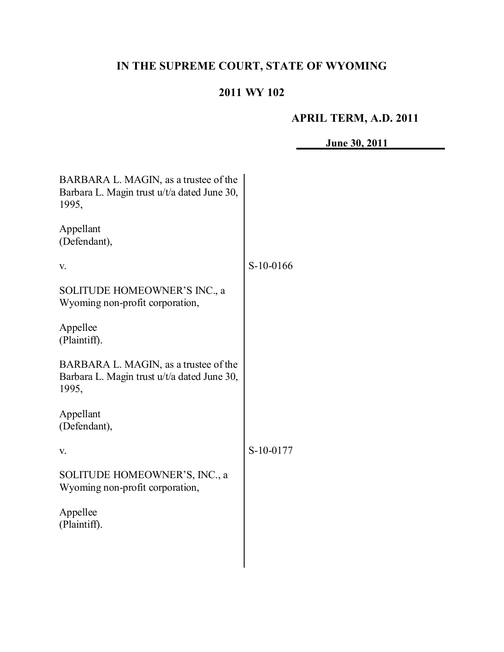# **IN THE SUPREME COURT, STATE OF WYOMING**

# **2011 WY 102**

# **APRIL TERM, A.D. 2011**

**June 30, 2011**

| BARBARA L. MAGIN, as a trustee of the<br>Barbara L. Magin trust u/t/a dated June 30,<br>1995, |           |
|-----------------------------------------------------------------------------------------------|-----------|
| Appellant<br>(Defendant),                                                                     |           |
| V.                                                                                            | S-10-0166 |
| SOLITUDE HOMEOWNER'S INC., a<br>Wyoming non-profit corporation,                               |           |
| Appellee<br>(Plaintiff).                                                                      |           |
| BARBARA L. MAGIN, as a trustee of the<br>Barbara L. Magin trust u/t/a dated June 30,<br>1995, |           |
| Appellant<br>(Defendant),                                                                     |           |
| V.                                                                                            | S-10-0177 |
| SOLITUDE HOMEOWNER'S, INC., a<br>Wyoming non-profit corporation,                              |           |
| Appellee<br>(Plaintiff).                                                                      |           |
|                                                                                               |           |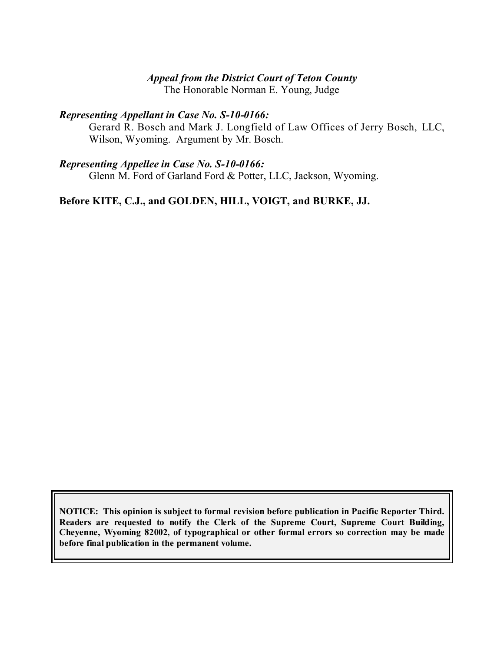### *Appeal from the District Court of Teton County*

The Honorable Norman E. Young, Judge

### *Representing Appellant in Case No. S-10-0166:*

Gerard R. Bosch and Mark J. Longfield of Law Offices of Jerry Bosch, LLC, Wilson, Wyoming. Argument by Mr. Bosch.

#### *Representing Appellee in Case No. S-10-0166:*

Glenn M. Ford of Garland Ford & Potter, LLC, Jackson, Wyoming.

### **Before KITE, C.J., and GOLDEN, HILL, VOIGT, and BURKE, JJ.**

**NOTICE: This opinion is subject to formal revision before publication in Pacific Reporter Third. Readers are requested to notify the Clerk of the Supreme Court, Supreme Court Building, Cheyenne, Wyoming 82002, of typographical or other formal errors so correction may be made before final publication in the permanent volume.**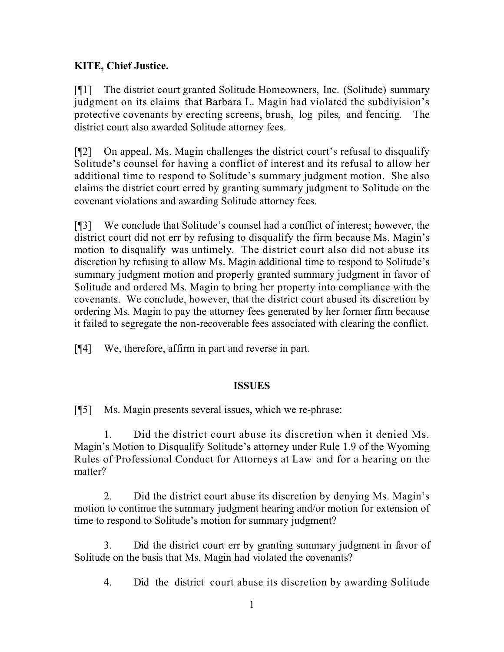### **KITE, Chief Justice.**

[¶1] The district court granted Solitude Homeowners, Inc. (Solitude) summary judgment on its claims that Barbara L. Magin had violated the subdivision's protective covenants by erecting screens, brush, log piles, and fencing. The district court also awarded Solitude attorney fees.

[¶2] On appeal, Ms. Magin challenges the district court's refusal to disqualify Solitude's counsel for having a conflict of interest and its refusal to allow her additional time to respond to Solitude's summary judgment motion. She also claims the district court erred by granting summary judgment to Solitude on the covenant violations and awarding Solitude attorney fees.

[¶3] We conclude that Solitude's counsel had a conflict of interest; however, the district court did not err by refusing to disqualify the firm because Ms. Magin's motion to disqualify was untimely. The district court also did not abuse its discretion by refusing to allow Ms. Magin additional time to respond to Solitude's summary judgment motion and properly granted summary judgment in favor of Solitude and ordered Ms. Magin to bring her property into compliance with the covenants. We conclude, however, that the district court abused its discretion by ordering Ms. Magin to pay the attorney fees generated by her former firm because it failed to segregate the non-recoverable fees associated with clearing the conflict.

[¶4] We, therefore, affirm in part and reverse in part.

### **ISSUES**

[¶5] Ms. Magin presents several issues, which we re-phrase:

1. Did the district court abuse its discretion when it denied Ms. Magin's Motion to Disqualify Solitude's attorney under Rule 1.9 of the Wyoming Rules of Professional Conduct for Attorneys at Law and for a hearing on the matter?

2. Did the district court abuse its discretion by denying Ms. Magin's motion to continue the summary judgment hearing and/or motion for extension of time to respond to Solitude's motion for summary judgment?

3. Did the district court err by granting summary judgment in favor of Solitude on the basis that Ms. Magin had violated the covenants?

4. Did the district court abuse its discretion by awarding Solitude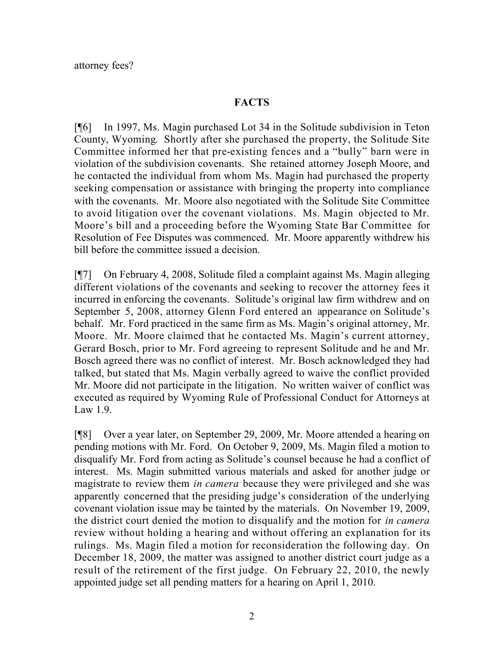#### **FACTS**

[¶6] In 1997, Ms. Magin purchased Lot 34 in the Solitude subdivision in Teton County, Wyoming. Shortly after she purchased the property, the Solitude Site Committee informed her that pre-existing fences and a "bully" barn were in violation of the subdivision covenants. She retained attorney Joseph Moore, and he contacted the individual from whom Ms. Magin had purchased the property seeking compensation or assistance with bringing the property into compliance with the covenants. Mr. Moore also negotiated with the Solitude Site Committee to avoid litigation over the covenant violations. Ms. Magin objected to Mr. Moore's bill and a proceeding before the Wyoming State Bar Committee for Resolution of Fee Disputes was commenced. Mr. Moore apparently withdrew his bill before the committee issued a decision.

[¶7] On February 4, 2008, Solitude filed a complaint against Ms. Magin alleging different violations of the covenants and seeking to recover the attorney fees it incurred in enforcing the covenants. Solitude's original law firm withdrew and on September 5, 2008, attorney Glenn Ford entered an appearance on Solitude's behalf. Mr. Ford practiced in the same firm as Ms. Magin's original attorney, Mr. Moore. Mr. Moore claimed that he contacted Ms. Magin's current attorney, Gerard Bosch, prior to Mr. Ford agreeing to represent Solitude and he and Mr. Bosch agreed there was no conflict of interest. Mr. Bosch acknowledged they had talked, but stated that Ms. Magin verbally agreed to waive the conflict provided Mr. Moore did not participate in the litigation. No written waiver of conflict was executed as required by Wyoming Rule of Professional Conduct for Attorneys at Law 1.9.

[¶8] Over a year later, on September 29, 2009, Mr. Moore attended a hearing on pending motions with Mr. Ford. On October 9, 2009, Ms. Magin filed a motion to disqualify Mr. Ford from acting as Solitude's counsel because he had a conflict of interest. Ms. Magin submitted various materials and asked for another judge or magistrate to review them *in camera* because they were privileged and she was apparently concerned that the presiding judge's consideration of the underlying covenant violation issue may be tainted by the materials. On November 19, 2009, the district court denied the motion to disqualify and the motion for *in camera*  review without holding a hearing and without offering an explanation for its rulings. Ms. Magin filed a motion for reconsideration the following day. On December 18, 2009, the matter was assigned to another district court judge as a result of the retirement of the first judge. On February 22, 2010, the newly appointed judge set all pending matters for a hearing on April 1, 2010.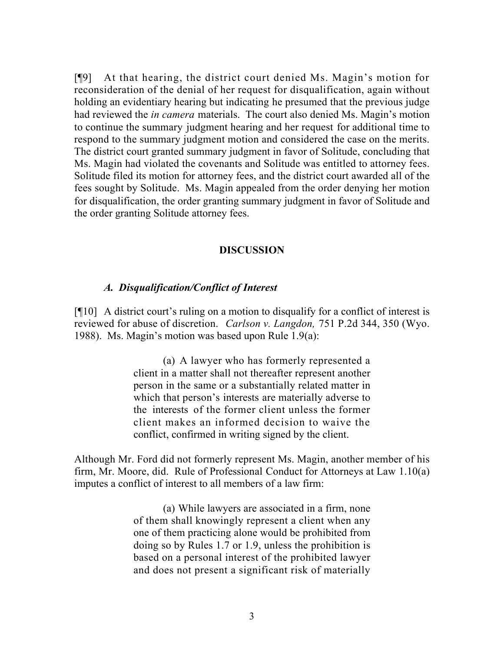[¶9] At that hearing, the district court denied Ms. Magin's motion for reconsideration of the denial of her request for disqualification, again without holding an evidentiary hearing but indicating he presumed that the previous judge had reviewed the *in camera* materials. The court also denied Ms. Magin's motion to continue the summary judgment hearing and her request for additional time to respond to the summary judgment motion and considered the case on the merits. The district court granted summary judgment in favor of Solitude, concluding that Ms. Magin had violated the covenants and Solitude was entitled to attorney fees. Solitude filed its motion for attorney fees, and the district court awarded all of the fees sought by Solitude. Ms. Magin appealed from the order denying her motion for disqualification, the order granting summary judgment in favor of Solitude and the order granting Solitude attorney fees.

#### **DISCUSSION**

#### *A. Disqualification/Conflict of Interest*

[¶10] A district court's ruling on a motion to disqualify for a conflict of interest is reviewed for abuse of discretion. *Carlson v. Langdon,* 751 P.2d 344, 350 (Wyo. 1988). Ms. Magin's motion was based upon Rule 1.9(a):

> (a) A lawyer who has formerly represented a client in a matter shall not thereafter represent another person in the same or a substantially related matter in which that person's interests are materially adverse to the interests of the former client unless the former client makes an informed decision to waive the conflict, confirmed in writing signed by the client.

Although Mr. Ford did not formerly represent Ms. Magin, another member of his firm, Mr. Moore, did. Rule of Professional Conduct for Attorneys at Law 1.10(a) imputes a conflict of interest to all members of a law firm:

> (a) While lawyers are associated in a firm, none of them shall knowingly represent a client when any one of them practicing alone would be prohibited from doing so by Rules 1.7 or 1.9, unless the prohibition is based on a personal interest of the prohibited lawyer and does not present a significant risk of materially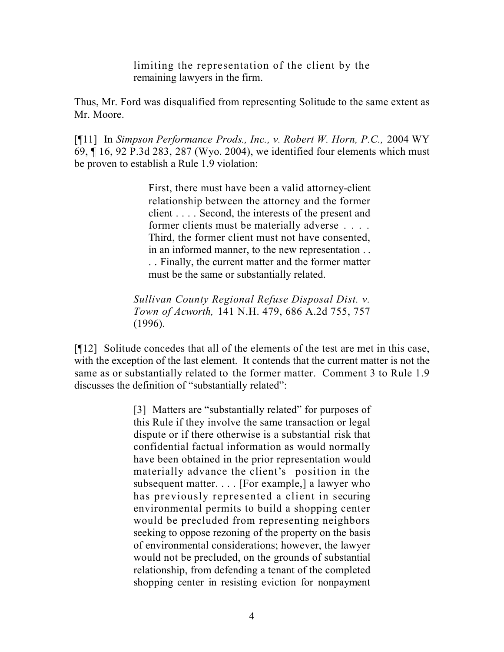limiting the representation of the client by the remaining lawyers in the firm.

Thus, Mr. Ford was disqualified from representing Solitude to the same extent as Mr. Moore.

[¶11] In *Simpson Performance Prods., Inc., v. Robert W. Horn, P.C.,* 2004 WY 69, ¶ 16, 92 P.3d 283, 287 (Wyo. 2004), we identified four elements which must be proven to establish a Rule 1.9 violation:

> First, there must have been a valid attorney-client relationship between the attorney and the former client . . . . Second, the interests of the present and former clients must be materially adverse . . . . Third, the former client must not have consented, in an informed manner, to the new representation . . . . Finally, the current matter and the former matter must be the same or substantially related.

*Sullivan County Regional Refuse Disposal Dist. v. Town of Acworth,* 141 N.H. 479, 686 A.2d 755, 757 (1996).

[¶12] Solitude concedes that all of the elements of the test are met in this case, with the exception of the last element. It contends that the current matter is not the same as or substantially related to the former matter. Comment 3 to Rule 1.9 discusses the definition of "substantially related":

> [3] Matters are "substantially related" for purposes of this Rule if they involve the same transaction or legal dispute or if there otherwise is a substantial risk that confidential factual information as would normally have been obtained in the prior representation would materially advance the client's position in the subsequent matter. . . . [For example,] a lawyer who has previously represented a client in securing environmental permits to build a shopping center would be precluded from representing neighbors seeking to oppose rezoning of the property on the basis of environmental considerations; however, the lawyer would not be precluded, on the grounds of substantial relationship, from defending a tenant of the completed shopping center in resisting eviction for nonpayment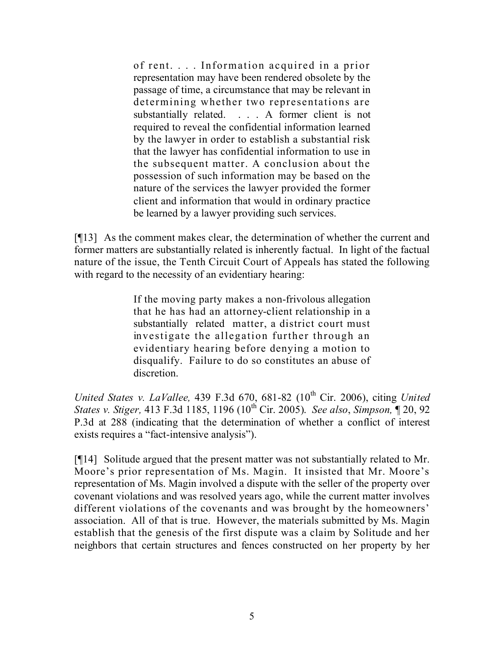of rent. . . . Information acquired in a prior representation may have been rendered obsolete by the passage of time, a circumstance that may be relevant in determining whether two representations are substantially related. . . . A former client is not required to reveal the confidential information learned by the lawyer in order to establish a substantial risk that the lawyer has confidential information to use in the subsequent matter. A conclusion about the possession of such information may be based on the nature of the services the lawyer provided the former client and information that would in ordinary practice be learned by a lawyer providing such services.

[¶13] As the comment makes clear, the determination of whether the current and former matters are substantially related is inherently factual. In light of the factual nature of the issue, the Tenth Circuit Court of Appeals has stated the following with regard to the necessity of an evidentiary hearing:

> If the moving party makes a non-frivolous allegation that he has had an attorney-client relationship in a substantially related matter, a district court must investigate the allegation further through an evidentiary hearing before denying a motion to disqualify. Failure to do so constitutes an abuse of discretion.

*United States v. LaVallee,* 439 F.3d 670, 681-82 (10 th Cir. 2006), citing *United States v. Stiger,* 413 F.3d 1185, 1196 (10 th Cir. 2005). *See also*, *Simpson,* ¶ 20, 92 P.3d at 288 (indicating that the determination of whether a conflict of interest exists requires a "fact-intensive analysis").

[¶14] Solitude argued that the present matter was not substantially related to Mr. Moore's prior representation of Ms. Magin. It insisted that Mr. Moore's representation of Ms. Magin involved a dispute with the seller of the property over covenant violations and was resolved years ago, while the current matter involves different violations of the covenants and was brought by the homeowners' association. All of that is true. However, the materials submitted by Ms. Magin establish that the genesis of the first dispute was a claim by Solitude and her neighbors that certain structures and fences constructed on her property by her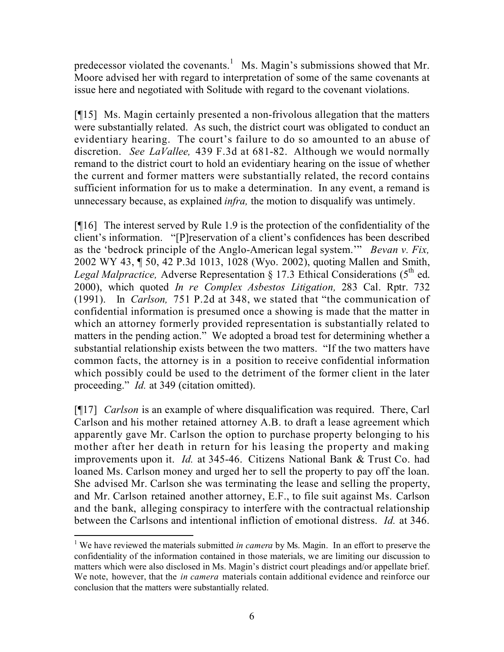predecessor violated the covenants.<sup>1</sup> Ms. Magin's submissions showed that Mr. Moore advised her with regard to interpretation of some of the same covenants at issue here and negotiated with Solitude with regard to the covenant violations.

[¶15] Ms. Magin certainly presented a non-frivolous allegation that the matters were substantially related. As such, the district court was obligated to conduct an evidentiary hearing. The court's failure to do so amounted to an abuse of discretion. *See LaVallee,* 439 F.3d at 681-82. Although we would normally remand to the district court to hold an evidentiary hearing on the issue of whether the current and former matters were substantially related, the record contains sufficient information for us to make a determination. In any event, a remand is unnecessary because, as explained *infra,* the motion to disqualify was untimely.

[¶16] The interest served by Rule 1.9 is the protection of the confidentiality of the client's information. "[P]reservation of a client's confidences has been described as the 'bedrock principle of the Anglo-American legal system.'" *Bevan v. Fix,*  2002 WY 43, ¶ 50, 42 P.3d 1013, 1028 (Wyo. 2002), quoting Mallen and Smith, Legal Malpractice, Adverse Representation § 17.3 Ethical Considerations ( $5^{th}$  ed. 2000), which quoted *In re Complex Asbestos Litigation,* 283 Cal. Rptr. 732 (1991). In *Carlson,* 751 P.2d at 348, we stated that "the communication of confidential information is presumed once a showing is made that the matter in which an attorney formerly provided representation is substantially related to matters in the pending action." We adopted a broad test for determining whether a substantial relationship exists between the two matters. "If the two matters have common facts, the attorney is in a position to receive confidential information which possibly could be used to the detriment of the former client in the later proceeding." *Id.* at 349 (citation omitted).

[¶17] *Carlson* is an example of where disqualification was required. There, Carl Carlson and his mother retained attorney A.B. to draft a lease agreement which apparently gave Mr. Carlson the option to purchase property belonging to his mother after her death in return for his leasing the property and making improvements upon it. *Id.* at 345-46. Citizens National Bank & Trust Co. had loaned Ms. Carlson money and urged her to sell the property to pay off the loan. She advised Mr. Carlson she was terminating the lease and selling the property, and Mr. Carlson retained another attorney, E.F., to file suit against Ms. Carlson and the bank, alleging conspiracy to interfere with the contractual relationship between the Carlsons and intentional infliction of emotional distress. *Id.* at 346.

 $\overline{a}$ <sup>1</sup> We have reviewed the materials submitted *in camera* by Ms. Magin. In an effort to preserve the confidentiality of the information contained in those materials, we are limiting our discussion to matters which were also disclosed in Ms. Magin's district court pleadings and/or appellate brief. We note, however, that the *in camera* materials contain additional evidence and reinforce our conclusion that the matters were substantially related.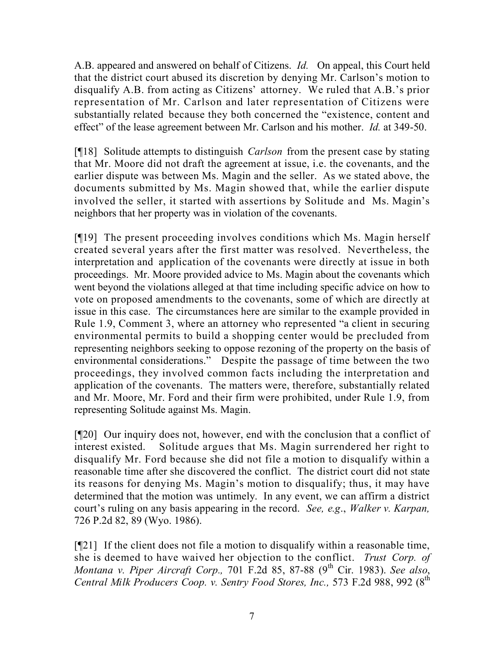A.B. appeared and answered on behalf of Citizens. *Id.* On appeal, this Court held that the district court abused its discretion by denying Mr. Carlson's motion to disqualify A.B. from acting as Citizens' attorney. We ruled that A.B.'s prior representation of Mr. Carlson and later representation of Citizens were substantially related because they both concerned the "existence, content and effect" of the lease agreement between Mr. Carlson and his mother. *Id.* at 349-50.

[¶18] Solitude attempts to distinguish *Carlson* from the present case by stating that Mr. Moore did not draft the agreement at issue, i.e. the covenants, and the earlier dispute was between Ms. Magin and the seller. As we stated above, the documents submitted by Ms. Magin showed that, while the earlier dispute involved the seller, it started with assertions by Solitude and Ms. Magin's neighbors that her property was in violation of the covenants.

[¶19] The present proceeding involves conditions which Ms. Magin herself created several years after the first matter was resolved. Nevertheless, the interpretation and application of the covenants were directly at issue in both proceedings. Mr. Moore provided advice to Ms. Magin about the covenants which went beyond the violations alleged at that time including specific advice on how to vote on proposed amendments to the covenants, some of which are directly at issue in this case. The circumstances here are similar to the example provided in Rule 1.9, Comment 3, where an attorney who represented "a client in securing environmental permits to build a shopping center would be precluded from representing neighbors seeking to oppose rezoning of the property on the basis of environmental considerations." Despite the passage of time between the two proceedings, they involved common facts including the interpretation and application of the covenants. The matters were, therefore, substantially related and Mr. Moore, Mr. Ford and their firm were prohibited, under Rule 1.9, from representing Solitude against Ms. Magin.

[¶20] Our inquiry does not, however, end with the conclusion that a conflict of interest existed. Solitude argues that Ms. Magin surrendered her right to disqualify Mr. Ford because she did not file a motion to disqualify within a reasonable time after she discovered the conflict. The district court did not state its reasons for denying Ms. Magin's motion to disqualify; thus, it may have determined that the motion was untimely. In any event, we can affirm a district court's ruling on any basis appearing in the record. *See, e.g*., *Walker v. Karpan,*  726 P.2d 82, 89 (Wyo. 1986).

[¶21] If the client does not file a motion to disqualify within a reasonable time, she is deemed to have waived her objection to the conflict. *Trust Corp. of Montana v. Piper Aircraft Corp.,* 701 F.2d 85, 87-88 (9 th Cir. 1983). *See also*, *Central Milk Producers Coop. v. Sentry Food Stores, Inc.,* 573 F.2d 988, 992 (8 th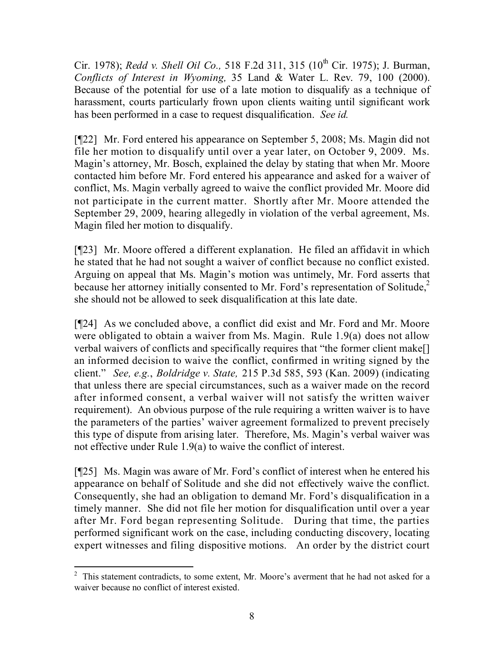Cir. 1978); *Redd v. Shell Oil Co.,* 518 F.2d 311, 315 (10 th Cir. 1975); J. Burman, *Conflicts of Interest in Wyoming,* 35 Land & Water L. Rev. 79, 100 (2000). Because of the potential for use of a late motion to disqualify as a technique of harassment, courts particularly frown upon clients waiting until significant work has been performed in a case to request disqualification. *See id.*

[¶22] Mr. Ford entered his appearance on September 5, 2008; Ms. Magin did not file her motion to disqualify until over a year later, on October 9, 2009. Ms. Magin's attorney, Mr. Bosch, explained the delay by stating that when Mr. Moore contacted him before Mr. Ford entered his appearance and asked for a waiver of conflict, Ms. Magin verbally agreed to waive the conflict provided Mr. Moore did not participate in the current matter. Shortly after Mr. Moore attended the September 29, 2009, hearing allegedly in violation of the verbal agreement, Ms. Magin filed her motion to disqualify.

[¶23] Mr. Moore offered a different explanation. He filed an affidavit in which he stated that he had not sought a waiver of conflict because no conflict existed. Arguing on appeal that Ms. Magin's motion was untimely, Mr. Ford asserts that because her attorney initially consented to Mr. Ford's representation of Solitude, $2^2$ she should not be allowed to seek disqualification at this late date.

[¶24] As we concluded above, a conflict did exist and Mr. Ford and Mr. Moore were obligated to obtain a waiver from Ms. Magin. Rule 1.9(a) does not allow verbal waivers of conflicts and specifically requires that "the former client make[] an informed decision to waive the conflict, confirmed in writing signed by the client." *See, e.g.*, *Boldridge v. State,* 215 P.3d 585, 593 (Kan. 2009) (indicating that unless there are special circumstances, such as a waiver made on the record after informed consent, a verbal waiver will not satisfy the written waiver requirement). An obvious purpose of the rule requiring a written waiver is to have the parameters of the parties' waiver agreement formalized to prevent precisely this type of dispute from arising later. Therefore, Ms. Magin's verbal waiver was not effective under Rule 1.9(a) to waive the conflict of interest.

[¶25] Ms. Magin was aware of Mr. Ford's conflict of interest when he entered his appearance on behalf of Solitude and she did not effectively waive the conflict. Consequently, she had an obligation to demand Mr. Ford's disqualification in a timely manner. She did not file her motion for disqualification until over a year after Mr. Ford began representing Solitude. During that time, the parties performed significant work on the case, including conducting discovery, locating expert witnesses and filing dispositive motions. An order by the district court

 $\overline{a}$  $2$  This statement contradicts, to some extent, Mr. Moore's averment that he had not asked for a waiver because no conflict of interest existed.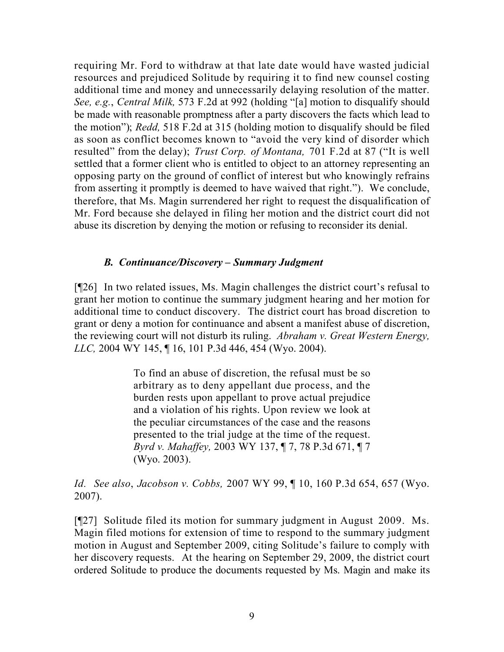requiring Mr. Ford to withdraw at that late date would have wasted judicial resources and prejudiced Solitude by requiring it to find new counsel costing additional time and money and unnecessarily delaying resolution of the matter. *See, e.g.*, *Central Milk,* 573 F.2d at 992 (holding "[a] motion to disqualify should be made with reasonable promptness after a party discovers the facts which lead to the motion"); *Redd,* 518 F.2d at 315 (holding motion to disqualify should be filed as soon as conflict becomes known to "avoid the very kind of disorder which resulted" from the delay); *Trust Corp. of Montana,* 701 F.2d at 87 ("It is well settled that a former client who is entitled to object to an attorney representing an opposing party on the ground of conflict of interest but who knowingly refrains from asserting it promptly is deemed to have waived that right."). We conclude, therefore, that Ms. Magin surrendered her right to request the disqualification of Mr. Ford because she delayed in filing her motion and the district court did not abuse its discretion by denying the motion or refusing to reconsider its denial.

### *B. Continuance/Discovery – Summary Judgment*

[¶26] In two related issues, Ms. Magin challenges the district court's refusal to grant her motion to continue the summary judgment hearing and her motion for additional time to conduct discovery. The district court has broad discretion to grant or deny a motion for continuance and absent a manifest abuse of discretion, the reviewing court will not disturb its ruling. *Abraham v. Great Western Energy, LLC,* 2004 WY 145, ¶ 16, 101 P.3d 446, 454 (Wyo. 2004).

> To find an abuse of discretion, the refusal must be so arbitrary as to deny appellant due process, and the burden rests upon appellant to prove actual prejudice and a violation of his rights. Upon review we look at the peculiar circumstances of the case and the reasons presented to the trial judge at the time of the request. *Byrd v. Mahaffey,* 2003 WY 137, ¶ 7, 78 P.3d 671, ¶ 7 (Wyo. 2003).

*Id. See also*, *Jacobson v. Cobbs,* 2007 WY 99, ¶ 10, 160 P.3d 654, 657 (Wyo. 2007).

[¶27] Solitude filed its motion for summary judgment in August 2009. Ms. Magin filed motions for extension of time to respond to the summary judgment motion in August and September 2009, citing Solitude's failure to comply with her discovery requests. At the hearing on September 29, 2009, the district court ordered Solitude to produce the documents requested by Ms. Magin and make its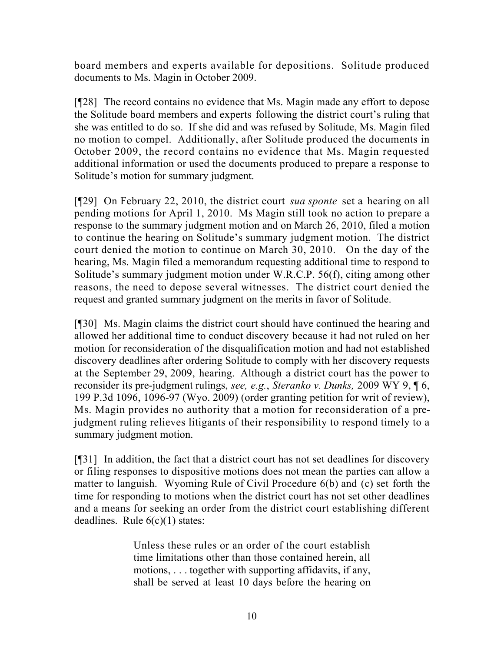board members and experts available for depositions. Solitude produced documents to Ms. Magin in October 2009.

[¶28] The record contains no evidence that Ms. Magin made any effort to depose the Solitude board members and experts following the district court's ruling that she was entitled to do so. If she did and was refused by Solitude, Ms. Magin filed no motion to compel. Additionally, after Solitude produced the documents in October 2009, the record contains no evidence that Ms. Magin requested additional information or used the documents produced to prepare a response to Solitude's motion for summary judgment.

[¶29] On February 22, 2010, the district court *sua sponte* set a hearing on all pending motions for April 1, 2010. Ms Magin still took no action to prepare a response to the summary judgment motion and on March 26, 2010, filed a motion to continue the hearing on Solitude's summary judgment motion. The district court denied the motion to continue on March 30, 2010. On the day of the hearing, Ms. Magin filed a memorandum requesting additional time to respond to Solitude's summary judgment motion under W.R.C.P. 56(f), citing among other reasons, the need to depose several witnesses. The district court denied the request and granted summary judgment on the merits in favor of Solitude.

[¶30] Ms. Magin claims the district court should have continued the hearing and allowed her additional time to conduct discovery because it had not ruled on her motion for reconsideration of the disqualification motion and had not established discovery deadlines after ordering Solitude to comply with her discovery requests at the September 29, 2009, hearing. Although a district court has the power to reconsider its pre-judgment rulings, *see, e.g.*, *Steranko v. Dunks,* 2009 WY 9, ¶ 6, 199 P.3d 1096, 1096-97 (Wyo. 2009) (order granting petition for writ of review), Ms. Magin provides no authority that a motion for reconsideration of a prejudgment ruling relieves litigants of their responsibility to respond timely to a summary judgment motion.

[¶31] In addition, the fact that a district court has not set deadlines for discovery or filing responses to dispositive motions does not mean the parties can allow a matter to languish. Wyoming Rule of Civil Procedure 6(b) and (c) set forth the time for responding to motions when the district court has not set other deadlines and a means for seeking an order from the district court establishing different deadlines. Rule  $6(c)(1)$  states:

> Unless these rules or an order of the court establish time limitations other than those contained herein, all motions, . . . together with supporting affidavits, if any, shall be served at least 10 days before the hearing on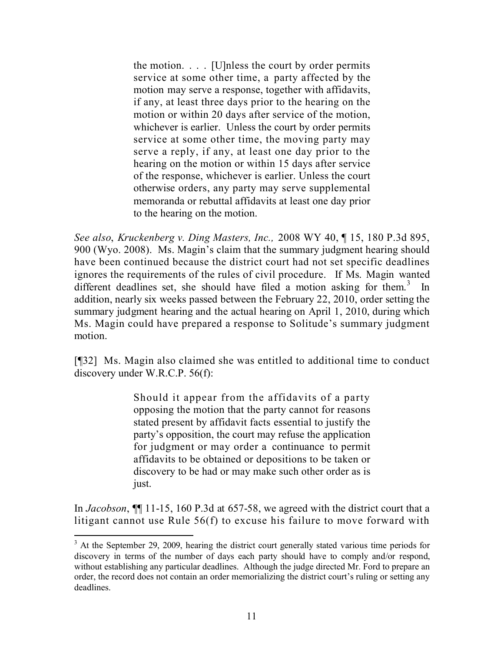the motion. . . . [U]nless the court by order permits service at some other time, a party affected by the motion may serve a response, together with affidavits, if any, at least three days prior to the hearing on the motion or within 20 days after service of the motion, whichever is earlier. Unless the court by order permits service at some other time, the moving party may serve a reply, if any, at least one day prior to the hearing on the motion or within 15 days after service of the response, whichever is earlier. Unless the court otherwise orders, any party may serve supplemental memoranda or rebuttal affidavits at least one day prior to the hearing on the motion.

*See also*, *Kruckenberg v. Ding Masters, Inc.,* 2008 WY 40, ¶ 15, 180 P.3d 895, 900 (Wyo. 2008). Ms. Magin's claim that the summary judgment hearing should have been continued because the district court had not set specific deadlines ignores the requirements of the rules of civil procedure. If Ms. Magin wanted different deadlines set, she should have filed a motion asking for them.<sup>3</sup> In addition, nearly six weeks passed between the February 22, 2010, order setting the summary judgment hearing and the actual hearing on April 1, 2010, during which Ms. Magin could have prepared a response to Solitude's summary judgment motion.

[¶32] Ms. Magin also claimed she was entitled to additional time to conduct discovery under W.R.C.P. 56(f):

> Should it appear from the affidavits of a party opposing the motion that the party cannot for reasons stated present by affidavit facts essential to justify the party's opposition, the court may refuse the application for judgment or may order a continuance to permit affidavits to be obtained or depositions to be taken or discovery to be had or may make such other order as is just.

In *Jacobson*, ¶¶ 11-15, 160 P.3d at 657-58, we agreed with the district court that a litigant cannot use Rule 56(f) to excuse his failure to move forward with

 $\overline{a}$ 

 $3<sup>3</sup>$  At the September 29, 2009, hearing the district court generally stated various time periods for discovery in terms of the number of days each party should have to comply and/or respond, without establishing any particular deadlines. Although the judge directed Mr. Ford to prepare an order, the record does not contain an order memorializing the district court's ruling or setting any deadlines.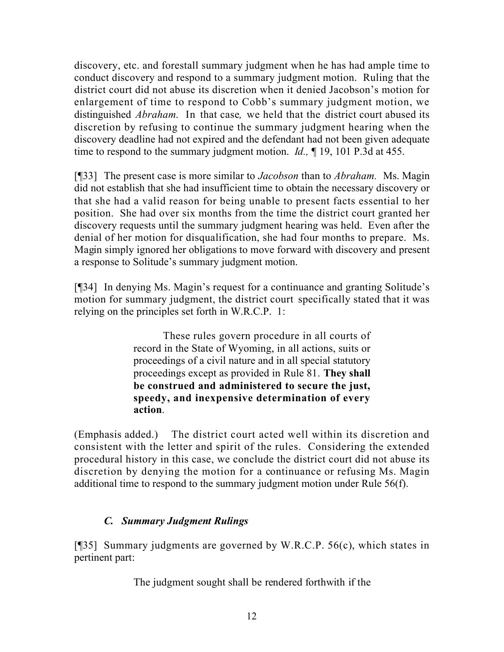discovery, etc. and forestall summary judgment when he has had ample time to conduct discovery and respond to a summary judgment motion. Ruling that the district court did not abuse its discretion when it denied Jacobson's motion for enlargement of time to respond to Cobb's summary judgment motion, we distinguished *Abraham*. In that case*,* we held that the district court abused its discretion by refusing to continue the summary judgment hearing when the discovery deadline had not expired and the defendant had not been given adequate time to respond to the summary judgment motion. *Id.,* ¶ 19, 101 P.3d at 455.

[¶33] The present case is more similar to *Jacobson* than to *Abraham.* Ms. Magin did not establish that she had insufficient time to obtain the necessary discovery or that she had a valid reason for being unable to present facts essential to her position. She had over six months from the time the district court granted her discovery requests until the summary judgment hearing was held. Even after the denial of her motion for disqualification, she had four months to prepare. Ms. Magin simply ignored her obligations to move forward with discovery and present a response to Solitude's summary judgment motion.

[¶34] In denying Ms. Magin's request for a continuance and granting Solitude's motion for summary judgment, the district court specifically stated that it was relying on the principles set forth in W.R.C.P. 1:

> These rules govern procedure in all courts of record in the State of Wyoming, in all actions, suits or proceedings of a civil nature and in all special statutory proceedings except as provided in Rule 81. **They shall be construed and administered to secure the just, speedy, and inexpensive determination of every action**.

(Emphasis added.) The district court acted well within its discretion and consistent with the letter and spirit of the rules. Considering the extended procedural history in this case, we conclude the district court did not abuse its discretion by denying the motion for a continuance or refusing Ms. Magin additional time to respond to the summary judgment motion under Rule 56(f).

## *C. Summary Judgment Rulings*

[¶35] Summary judgments are governed by W.R.C.P. 56(c), which states in pertinent part:

The judgment sought shall be rendered forthwith if the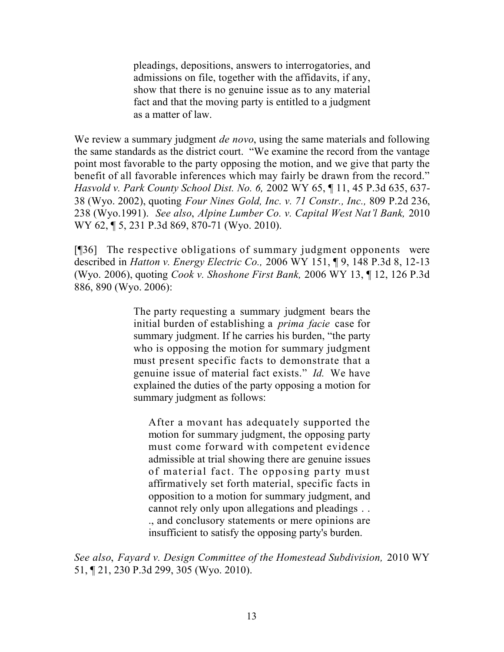pleadings, depositions, answers to interrogatories, and admissions on file, together with the affidavits, if any, show that there is no genuine issue as to any material fact and that the moving party is entitled to a judgment as a matter of law.

We review a summary judgment *de novo*, using the same materials and following the same standards as the district court. "We examine the record from the vantage point most favorable to the party opposing the motion, and we give that party the benefit of all favorable inferences which may fairly be drawn from the record." *Hasvold v. Park County School Dist. No. 6,* 2002 WY 65, ¶ 11, 45 P.3d 635, 637- 38 (Wyo. 2002), quoting *Four Nines Gold, Inc. v. 71 Constr., Inc.,* 809 P.2d 236, 238 (Wyo.1991). *See also*, *Alpine Lumber Co. v. Capital West Nat'l Bank,* 2010 WY 62, ¶ 5, 231 P.3d 869, 870-71 (Wyo. 2010).

[¶36] The respective obligations of summary judgment opponents were described in *Hatton v. Energy Electric Co.,* 2006 WY 151, ¶ 9, 148 P.3d 8, 12-13 (Wyo. 2006), quoting *Cook v. Shoshone First Bank,* 2006 WY 13, ¶ 12, 126 P.3d 886, 890 (Wyo. 2006):

> The party requesting a summary judgment bears the initial burden of establishing a *prima facie* case for summary judgment. If he carries his burden, "the party who is opposing the motion for summary judgment must present specific facts to demonstrate that a genuine issue of material fact exists." *Id.* We have explained the duties of the party opposing a motion for summary judgment as follows:

After a movant has adequately supported the motion for summary judgment, the opposing party must come forward with competent evidence admissible at trial showing there are genuine issues of material fact. The opposing party must affirmatively set forth material, specific facts in opposition to a motion for summary judgment, and cannot rely only upon allegations and pleadings . . ., and conclusory statements or mere opinions are insufficient to satisfy the opposing party's burden.

*See also*, *Fayard v. Design Committee of the Homestead Subdivision,* 2010 WY 51, ¶ 21, 230 P.3d 299, 305 (Wyo. 2010).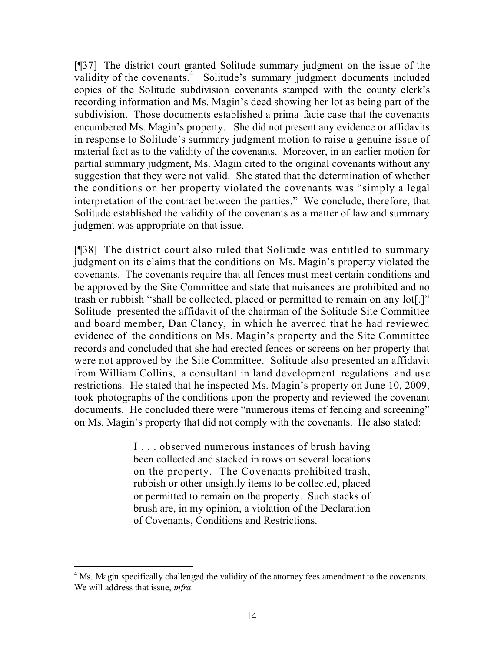[¶37] The district court granted Solitude summary judgment on the issue of the validity of the covenants.<sup>4</sup> Solitude's summary judgment documents included copies of the Solitude subdivision covenants stamped with the county clerk's recording information and Ms. Magin's deed showing her lot as being part of the subdivision. Those documents established a prima facie case that the covenants encumbered Ms. Magin's property. She did not present any evidence or affidavits in response to Solitude's summary judgment motion to raise a genuine issue of material fact as to the validity of the covenants. Moreover, in an earlier motion for partial summary judgment, Ms. Magin cited to the original covenants without any suggestion that they were not valid. She stated that the determination of whether the conditions on her property violated the covenants was "simply a legal interpretation of the contract between the parties." We conclude, therefore, that Solitude established the validity of the covenants as a matter of law and summary judgment was appropriate on that issue.

[¶38] The district court also ruled that Solitude was entitled to summary judgment on its claims that the conditions on Ms. Magin's property violated the covenants. The covenants require that all fences must meet certain conditions and be approved by the Site Committee and state that nuisances are prohibited and no trash or rubbish "shall be collected, placed or permitted to remain on any lot[.]" Solitude presented the affidavit of the chairman of the Solitude Site Committee and board member, Dan Clancy, in which he averred that he had reviewed evidence of the conditions on Ms. Magin's property and the Site Committee records and concluded that she had erected fences or screens on her property that were not approved by the Site Committee. Solitude also presented an affidavit from William Collins, a consultant in land development regulations and use restrictions. He stated that he inspected Ms. Magin's property on June 10, 2009, took photographs of the conditions upon the property and reviewed the covenant documents. He concluded there were "numerous items of fencing and screening" on Ms. Magin's property that did not comply with the covenants. He also stated:

> I . . . observed numerous instances of brush having been collected and stacked in rows on several locations on the property. The Covenants prohibited trash, rubbish or other unsightly items to be collected, placed or permitted to remain on the property. Such stacks of brush are, in my opinion, a violation of the Declaration of Covenants, Conditions and Restrictions.

 $\overline{a}$ <sup>4</sup> Ms. Magin specifically challenged the validity of the attorney fees amendment to the covenants. We will address that issue, *infra.*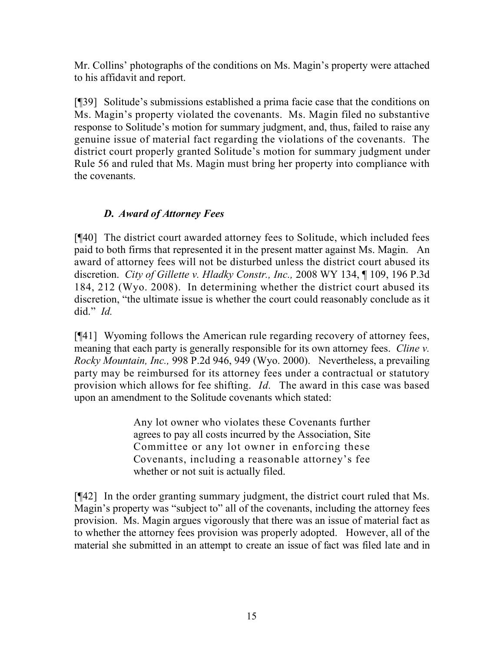Mr. Collins' photographs of the conditions on Ms. Magin's property were attached to his affidavit and report.

[¶39] Solitude's submissions established a prima facie case that the conditions on Ms. Magin's property violated the covenants. Ms. Magin filed no substantive response to Solitude's motion for summary judgment, and, thus, failed to raise any genuine issue of material fact regarding the violations of the covenants. The district court properly granted Solitude's motion for summary judgment under Rule 56 and ruled that Ms. Magin must bring her property into compliance with the covenants.

## *D. Award of Attorney Fees*

[¶40] The district court awarded attorney fees to Solitude, which included fees paid to both firms that represented it in the present matter against Ms. Magin. An award of attorney fees will not be disturbed unless the district court abused its discretion. *City of Gillette v. Hladky Constr., Inc.,* 2008 WY 134, ¶ 109, 196 P.3d 184, 212 (Wyo. 2008). In determining whether the district court abused its discretion, "the ultimate issue is whether the court could reasonably conclude as it did." *Id.* 

[¶41] Wyoming follows the American rule regarding recovery of attorney fees, meaning that each party is generally responsible for its own attorney fees. *Cline v. Rocky Mountain, Inc.,* 998 P.2d 946, 949 (Wyo. 2000). Nevertheless, a prevailing party may be reimbursed for its attorney fees under a contractual or statutory provision which allows for fee shifting. *Id.* The award in this case was based upon an amendment to the Solitude covenants which stated:

> Any lot owner who violates these Covenants further agrees to pay all costs incurred by the Association, Site Committee or any lot owner in enforcing these Covenants, including a reasonable attorney's fee whether or not suit is actually filed.

[¶42] In the order granting summary judgment, the district court ruled that Ms. Magin's property was "subject to" all of the covenants, including the attorney fees provision. Ms. Magin argues vigorously that there was an issue of material fact as to whether the attorney fees provision was properly adopted. However, all of the material she submitted in an attempt to create an issue of fact was filed late and in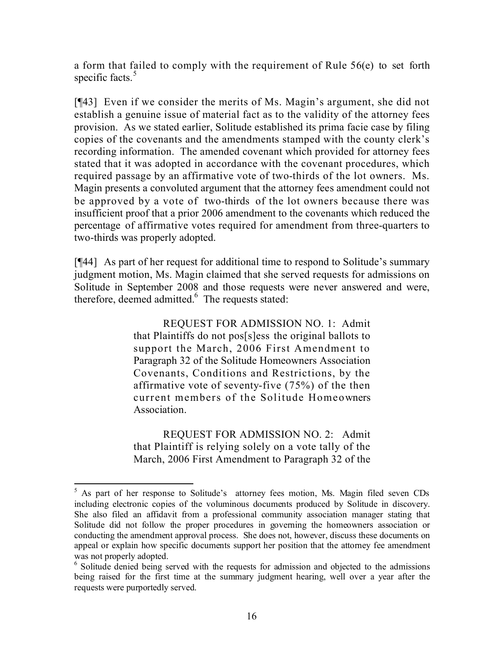a form that failed to comply with the requirement of Rule 56(e) to set forth specific facts. $5$ 

[¶43] Even if we consider the merits of Ms. Magin's argument, she did not establish a genuine issue of material fact as to the validity of the attorney fees provision. As we stated earlier, Solitude established its prima facie case by filing copies of the covenants and the amendments stamped with the county clerk's recording information. The amended covenant which provided for attorney fees stated that it was adopted in accordance with the covenant procedures, which required passage by an affirmative vote of two-thirds of the lot owners. Ms. Magin presents a convoluted argument that the attorney fees amendment could not be approved by a vote of two-thirds of the lot owners because there was insufficient proof that a prior 2006 amendment to the covenants which reduced the percentage of affirmative votes required for amendment from three-quarters to two-thirds was properly adopted.

[¶44] As part of her request for additional time to respond to Solitude's summary judgment motion, Ms. Magin claimed that she served requests for admissions on Solitude in September 2008 and those requests were never answered and were, therefore, deemed admitted.<sup>6</sup> The requests stated:

> REQUEST FOR ADMISSION NO. 1: Admit that Plaintiffs do not pos[s]ess the original ballots to support the March, 2006 First Amendment to Paragraph 32 of the Solitude Homeowners Association Covenants, Conditions and Restrictions, by the affirmative vote of seventy-five (75%) of the then current members of the Solitude Homeowners **Association**

> REQUEST FOR ADMISSION NO. 2: Admit that Plaintiff is relying solely on a vote tally of the March, 2006 First Amendment to Paragraph 32 of the

 $\overline{a}$ <sup>5</sup> As part of her response to Solitude's attorney fees motion, Ms. Magin filed seven CDs including electronic copies of the voluminous documents produced by Solitude in discovery. She also filed an affidavit from a professional community association manager stating that Solitude did not follow the proper procedures in governing the homeowners association or conducting the amendment approval process. She does not, however, discuss these documents on appeal or explain how specific documents support her position that the attorney fee amendment was not properly adopted.

<sup>&</sup>lt;sup>6</sup> Solitude denied being served with the requests for admission and objected to the admissions being raised for the first time at the summary judgment hearing, well over a year after the requests were purportedly served.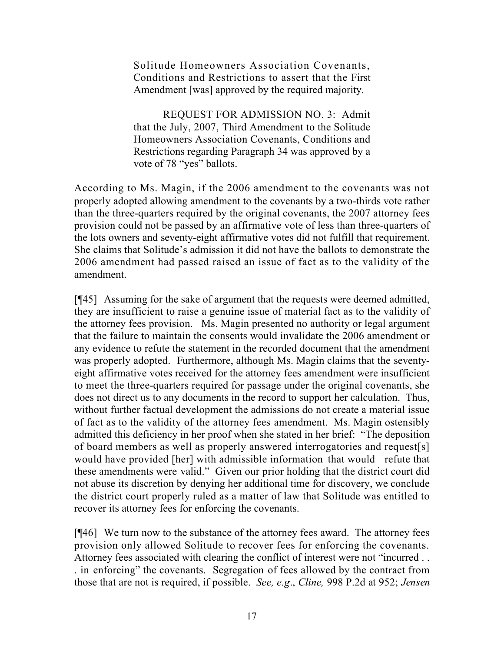Solitude Homeowners Association Covenants, Conditions and Restrictions to assert that the First Amendment [was] approved by the required majority.

REQUEST FOR ADMISSION NO. 3: Admit that the July, 2007, Third Amendment to the Solitude Homeowners Association Covenants, Conditions and Restrictions regarding Paragraph 34 was approved by a vote of 78 "yes" ballots.

According to Ms. Magin, if the 2006 amendment to the covenants was not properly adopted allowing amendment to the covenants by a two-thirds vote rather than the three-quarters required by the original covenants, the 2007 attorney fees provision could not be passed by an affirmative vote of less than three-quarters of the lots owners and seventy-eight affirmative votes did not fulfill that requirement. She claims that Solitude's admission it did not have the ballots to demonstrate the 2006 amendment had passed raised an issue of fact as to the validity of the amendment.

[¶45] Assuming for the sake of argument that the requests were deemed admitted, they are insufficient to raise a genuine issue of material fact as to the validity of the attorney fees provision. Ms. Magin presented no authority or legal argument that the failure to maintain the consents would invalidate the 2006 amendment or any evidence to refute the statement in the recorded document that the amendment was properly adopted. Furthermore, although Ms. Magin claims that the seventyeight affirmative votes received for the attorney fees amendment were insufficient to meet the three-quarters required for passage under the original covenants, she does not direct us to any documents in the record to support her calculation. Thus, without further factual development the admissions do not create a material issue of fact as to the validity of the attorney fees amendment. Ms. Magin ostensibly admitted this deficiency in her proof when she stated in her brief: "The deposition of board members as well as properly answered interrogatories and request[s] would have provided [her] with admissible information that would refute that these amendments were valid." Given our prior holding that the district court did not abuse its discretion by denying her additional time for discovery, we conclude the district court properly ruled as a matter of law that Solitude was entitled to recover its attorney fees for enforcing the covenants.

[¶46] We turn now to the substance of the attorney fees award. The attorney fees provision only allowed Solitude to recover fees for enforcing the covenants. Attorney fees associated with clearing the conflict of interest were not "incurred . . . in enforcing" the covenants. Segregation of fees allowed by the contract from those that are not is required, if possible. *See, e.g*., *Cline,* 998 P.2d at 952; *Jensen*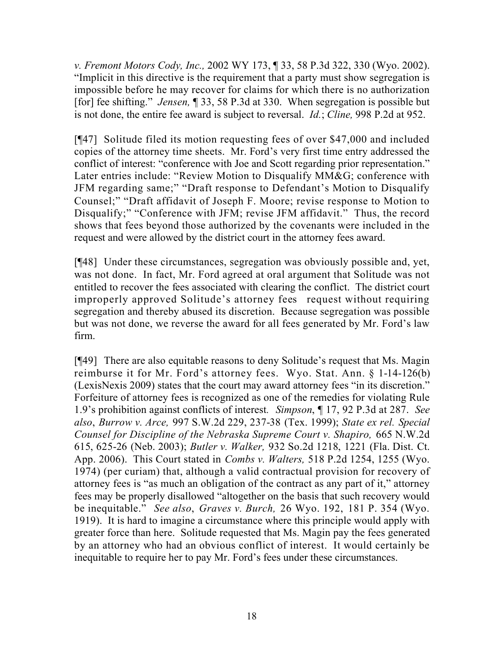*v. Fremont Motors Cody, Inc.,* 2002 WY 173, ¶ 33, 58 P.3d 322, 330 (Wyo. 2002). "Implicit in this directive is the requirement that a party must show segregation is impossible before he may recover for claims for which there is no authorization [for] fee shifting." *Jensen,* ¶ 33, 58 P.3d at 330. When segregation is possible but is not done, the entire fee award is subject to reversal. *Id.*; *Cline,* 998 P.2d at 952.

[¶47] Solitude filed its motion requesting fees of over \$47,000 and included copies of the attorney time sheets. Mr. Ford's very first time entry addressed the conflict of interest: "conference with Joe and Scott regarding prior representation." Later entries include: "Review Motion to Disqualify MM&G; conference with JFM regarding same;" "Draft response to Defendant's Motion to Disqualify Counsel;" "Draft affidavit of Joseph F. Moore; revise response to Motion to Disqualify;" "Conference with JFM; revise JFM affidavit." Thus, the record shows that fees beyond those authorized by the covenants were included in the request and were allowed by the district court in the attorney fees award.

[¶48] Under these circumstances, segregation was obviously possible and, yet, was not done. In fact, Mr. Ford agreed at oral argument that Solitude was not entitled to recover the fees associated with clearing the conflict. The district court improperly approved Solitude's attorney fees request without requiring segregation and thereby abused its discretion. Because segregation was possible but was not done, we reverse the award for all fees generated by Mr. Ford's law firm.

[¶49] There are also equitable reasons to deny Solitude's request that Ms. Magin reimburse it for Mr. Ford's attorney fees. Wyo. Stat. Ann. § 1-14-126(b) (LexisNexis 2009) states that the court may award attorney fees "in its discretion." Forfeiture of attorney fees is recognized as one of the remedies for violating Rule 1.9's prohibition against conflicts of interest*. Simpson*, ¶ 17, 92 P.3d at 287. *See also*, *Burrow v. Arce,* 997 S.W.2d 229, 237-38 (Tex. 1999); *State ex rel. Special Counsel for Discipline of the Nebraska Supreme Court v. Shapiro,* 665 N.W.2d 615, 625-26 (Neb. 2003); *Butler v. Walker,* 932 So.2d 1218, 1221 (Fla. Dist. Ct. App. 2006). This Court stated in *Combs v. Walters,* 518 P.2d 1254, 1255 (Wyo. 1974) (per curiam) that, although a valid contractual provision for recovery of attorney fees is "as much an obligation of the contract as any part of it," attorney fees may be properly disallowed "altogether on the basis that such recovery would be inequitable." *See also*, *Graves v. Burch,* 26 Wyo. 192, 181 P. 354 (Wyo. 1919). It is hard to imagine a circumstance where this principle would apply with greater force than here. Solitude requested that Ms. Magin pay the fees generated by an attorney who had an obvious conflict of interest. It would certainly be inequitable to require her to pay Mr. Ford's fees under these circumstances.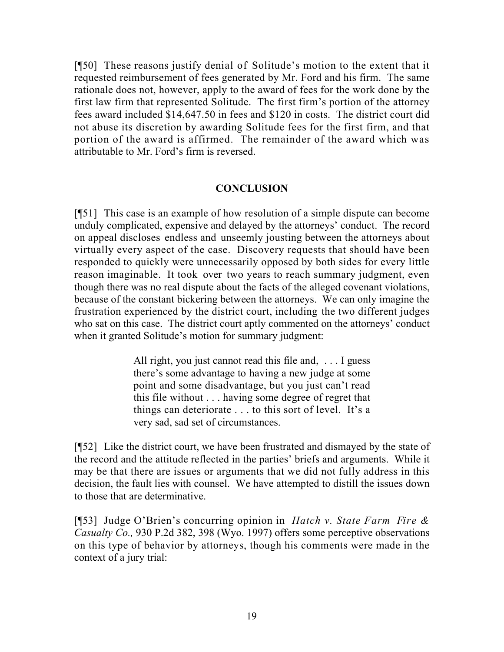[¶50] These reasons justify denial of Solitude's motion to the extent that it requested reimbursement of fees generated by Mr. Ford and his firm. The same rationale does not, however, apply to the award of fees for the work done by the first law firm that represented Solitude. The first firm's portion of the attorney fees award included \$14,647.50 in fees and \$120 in costs. The district court did not abuse its discretion by awarding Solitude fees for the first firm, and that portion of the award is affirmed. The remainder of the award which was attributable to Mr. Ford's firm is reversed.

#### **CONCLUSION**

[¶51] This case is an example of how resolution of a simple dispute can become unduly complicated, expensive and delayed by the attorneys' conduct. The record on appeal discloses endless and unseemly jousting between the attorneys about virtually every aspect of the case. Discovery requests that should have been responded to quickly were unnecessarily opposed by both sides for every little reason imaginable. It took over two years to reach summary judgment, even though there was no real dispute about the facts of the alleged covenant violations, because of the constant bickering between the attorneys. We can only imagine the frustration experienced by the district court, including the two different judges who sat on this case. The district court aptly commented on the attorneys' conduct when it granted Solitude's motion for summary judgment:

> All right, you just cannot read this file and, . . . I guess there's some advantage to having a new judge at some point and some disadvantage, but you just can't read this file without . . . having some degree of regret that things can deteriorate . . . to this sort of level. It's a very sad, sad set of circumstances.

[¶52] Like the district court, we have been frustrated and dismayed by the state of the record and the attitude reflected in the parties' briefs and arguments. While it may be that there are issues or arguments that we did not fully address in this decision, the fault lies with counsel. We have attempted to distill the issues down to those that are determinative.

[¶53] Judge O'Brien's concurring opinion in *Hatch v. State Farm Fire & Casualty Co.,* 930 P.2d 382, 398 (Wyo. 1997) offers some perceptive observations on this type of behavior by attorneys, though his comments were made in the context of a jury trial: